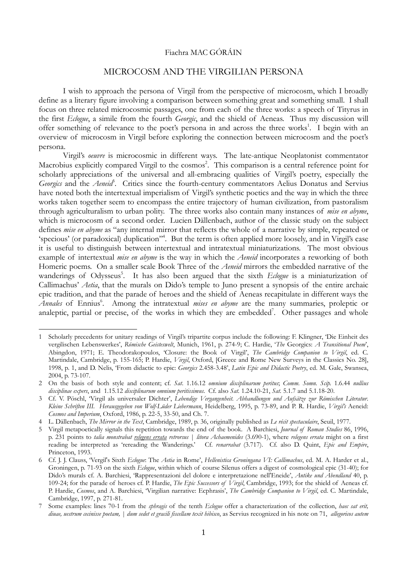## Fiachra MAC GÓRÁIN

## MICROCOSM AND THE VIRGILIAN PERSONA

I wish to approach the persona of Virgil from the perspective of microcosm, which I broadly define as a literary figure involving a comparison between something great and something small. I shall focus on three related microcosmic passages, one from each of the three works: a speech of Tityrus in the first *Eclogue*, a simile from the fourth *Georgic*, and the shield of Aeneas. Thus my discussion will offer something of relevance to the poet's persona in and across the three works<sup>1</sup>. I begin with an overview of microcosm in Virgil before exploring the connection between microcosm and the poet's persona.

Virgil's *oeuvre* is microcosmic in different ways. The late-antique Neoplatonist commentator Macrobius explicitly compared Virgil to the cosmos<sup>2</sup>. This comparison is a central reference point for scholarly appreciations of the universal and all-embracing qualities of Virgil's poetry, especially the Georgics and the *Aeneid*<sup>3</sup>. Critics since the fourth-century commentators Aelius Donatus and Servius have noted both the intertextual imperialism of Virgil's synthetic poetics and the way in which the three works taken together seem to encompass the entire trajectory of human civilization, from pastoralism through agriculturalism to urban polity. The three works also contain many instances of *mise en abyme*, which is microcosm of a second order. Lucien Dällenbach, author of the classic study on the subject defines *mise en abyme* as "any internal mirror that reflects the whole of a narrative by simple, repeated or 'specious' (or paradoxical) duplication"<sup>4</sup>. But the term is often applied more loosely, and in Virgil's case it is useful to distinguish between intertextual and intratextual miniaturizations. The most obvious example of intertextual *mise en abyme* is the way in which the *Aeneid* incorporates a reworking of both Homeric poems. On a smaller scale Book Three of the *Aeneid* mirrors the embedded narrative of the wanderings of Odysseus<sup>5</sup>. It has also been argued that the sixth *Eclogue* is a miniaturization of Callimachus' *Aetia*, that the murals on Dido's temple to Juno present a synopsis of the entire archaic epic tradition, and that the parade of heroes and the shield of Aeneas recapitulate in different ways the Annales of Ennius<sup>6</sup>. Among the intratextual *mises en abyme* are the many summaries, proleptic or analeptic, partial or precise, of the works in which they are embedded<sup>7</sup>. Other passages and whole

<sup>1</sup> Scholarly precedents for unitary readings of Virgil's tripartite corpus include the following: F. Klingner, 'Die Einheit des vergilischen Lebenswerkes', *Römische Geisteswelt*, Munich, 1961, p. 274-9; C. Hardie, '*The* Georgics: *A Transitional Poem*', Abingdon, 1971; E. Theodorakopoulos, 'Closure: the Book of Virgil', *The Cambridge Companion to Virgil*, ed. C. Martindale, Cambridge, p. 155-165; P. Hardie, *Virgil*, Oxford, [Greece and Rome New Surveys in the Classics No. 28], 1998, p. 1, and D. Nelis, 'From didactic to epic: *Georgics* 2.458-3.48', *Latin Epic and Didactic Poetry*, ed. M. Gale, Swansea, 2004, p. 73-107.

<sup>2</sup> On the basis of both style and content; cf. *Sat*. 1.16.12 *omnium disciplinarum peritus*; *Comm. Somn. Scip.* 1.6.44 *nullius disciplinae expers*, and 1.15.12 *disciplinarum omnium peritissimus*. Cf. also *Sat.* 1.24.10-21, *Sat.* 5.1.7 and 5.1.18-20.

<sup>3</sup> Cf. V. Pöschl, 'Virgil als universaler Dichter', *Lebendige Vergangenheit. Abhandlungen und Aufsätze zur Römischen Literatur*. *Kleine Schriften III. Herausgegeben von Wolf-Lüder Liebermann*, Heidelberg, 1995, p. 73-89, and P. R. Hardie, *Virgil's* Aeneid: *Cosmos and Imperium*, Oxford, 1986, p. 22-5, 33-50, and Ch. 7.

<sup>4</sup> L. Dällenbach, *The Mirror in the Text*, Cambridge, 1989, p. 36, originally published as *Le récit spectaculaire*, Seuil, 1977.

<sup>5</sup> Virgil metapoetically signals this repetition towards the end of the book. A Barchiesi, *Journal of Roman Studies* 86, 1996, p. 231 points to *talia monstrabat relegens errata retrorsus* | *litora Achaemenides* (3.690-1), where *relegens errata* might on a first reading be interpreted as 'rereading the Wanderings.' Cf. *renarrabat* (3.717). Cf. also D. Quint, *Epic and Empire*, Princeton, 1993.

<sup>6</sup> Cf. J. J. Clauss, 'Vergil's Sixth *Eclogue*: The *Aetia* in Rome', *Hellenistica Groningana VI: Callimachus*, ed. M. A. Harder et al., Groningen, p. 71-93 on the sixth *Eclogue*, within which of course Silenus offers a digest of cosmological epic (31-40); for Dido's murals cf. A. Barchiesi, 'Rappresentazioni del dolore e interpretazione nell'Eneide', *Antike und Abendland* 40, p. 109-24; for the parade of heroes cf. P. Hardie, *The Epic Successors of Virgil*, Cambridge, 1993; for the shield of Aeneas cf. P. Hardie, *Cosmos*, and A. Barchiesi, 'Virgilian narrative: Ecphrasis', *The Cambridge Companion to Virgil*, ed. C. Martindale, Cambridge, 1997, p. 271-81.

<sup>7</sup> Some examples: lines 70-1 from the *sphragis* of the tenth *Eclogue* offer a characterization of the collection, *haec sat erit, diuae, uestrum cecinisse poetam, | dum sedet et gracili fiscellam texit hibisco*, as Servius recognized in his note on 71, *allegoricos autem*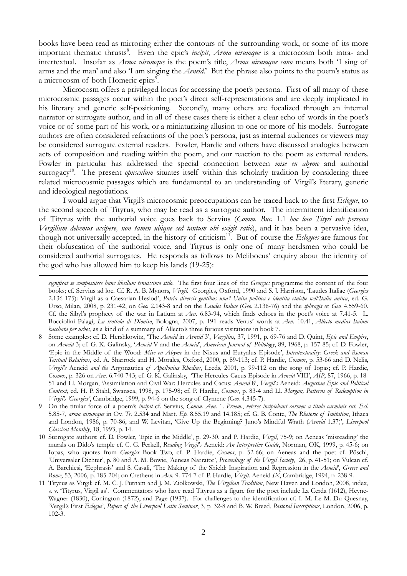books have been read as mirroring either the contours of the surrounding work, or some of its more important thematic thrusts<sup>8</sup>. Even the epic's *incipit*, *Arma uirumque* is a microcosm both intra- and intertextual. Insofar as *Arma uirumque* is the poem's title, *Arma uirumque cano* means both 'I sing of arms and the man' and also 'I am singing the *Aeneid*.' But the phrase also points to the poem's status as a microcosm of both Homeric epics<sup>9</sup>.

Microcosm offers a privileged locus for accessing the poet's persona. First of all many of these microcosmic passages occur within the poet's direct self-representations and are deeply implicated in his literary and generic self-positioning. Secondly, many others are focalized through an internal narrator or surrogate author, and in all of these cases there is either a clear echo of words in the poet's voice or of some part of his work, or a miniaturizing allusion to one or more of his models. Surrogate authors are often considered refractions of the poet's persona, just as internal audiences or viewers may be considered surrogate external readers. Fowler, Hardie and others have discussed analogies between acts of composition and reading within the poem, and our reaction to the poem as external readers. Fowler in particular has addressed the special connection between *mise en abyme* and authorial surrogacy<sup>10</sup>. The present *opusculum* situates itself within this scholarly tradition by considering three related microcosmic passages which are fundamental to an understanding of Virgil's literary, generic and ideological negotiations.

I would argue that Virgil's microcosmic preoccupations can be traced back to the first *Eclogue*, to the second speech of Tityrus, who may be read as a surrogate author. The intermittent identification of Tityrus with the authorial voice goes back to Servius (*Comm*. *Buc.* 1.1 *hoc loco Tityri sub persona Vergilium debemus accipere, non tamen ubique sed tantum ubi exigit ratio*), and it has been a pervasive idea, though not universally accepted, in the history of criticism<sup>11</sup>. But of course the *Eclogues* are famous for their obfuscation of the authorial voice, and Tityrus is only one of many herdsmen who could be considered authorial surrogates. He responds as follows to Meliboeus' enquiry about the identity of the god who has allowed him to keep his lands (19-25):

*significat se composuisse hunc libellum tenuissimo stilo*. The first four lines of the *Georgics* programme the content of the four books; cf. Servius ad loc. Cf. R. A. B. Mynors, *Virgil.* Georgics, Oxford, 1990 and S. J. Harrison, 'Laudes Italiae (*Georgics* 2.136-175): Virgil as a Caesarian Hesiod', *Patria diversis gentibus una? Unita politica e identita etniche nell'Italia antica*, ed. G. Urso, Milan, 2008, p. 231-42, on *Geo.* 2.143-8 and on the *Laudes Italiae* (*Geo.* 2.136-76) and the *sphragis* at *Geo.* 4.559-60. Cf. the Sibyl's prophecy of the war in Latium at *Aen.* 6.83-94, which finds echoes in the poet's voice at 7.41-5. L. Bocciolini Palagi, *La trottola di Dioniso*, Bologna, 2007, p. 191 reads Venus' words at *Aen.* 10.41, *Allecto medias Italum bacchata per urbes*, as a kind of a summary of Allecto's three furious visitations in book 7.

<sup>8</sup> Some examples: cf. D. Hershkowitz, 'The *Aeneid* in *Aeneid* 3', *Vergilius*, 37, 1991, p. 69-76 and D. Quint, *Epic and Empire*, on *Aeneid* 3; cf. G. K. Galinsky, '*Aeneid* V and the *Aeneid*', *American Journal of Philology*, 89, 1968, p. 157-85; cf. D. Fowler, 'Epic in the Middle of the Wood: *Mise en Abyme* in the Nisus and Euryalus Episode', *Intratextuality: Greek and Roman Textual Relations*, ed. A. Sharrock and H. Morales, Oxford, 2000, p. 89-113; cf. P. Hardie, *Cosmos*, p. 53-66 and D. Nelis, *Vergil's* Aeneid *and the* Argonautica *of Apollonius Rhodius*, Leeds, 2001, p. 99-112 on the song of Iopas; cf. P. Hardie, *Cosmos*, p. 326 on *Aen.* 6.740-743; cf. G. K. Galinsky, 'The Hercules-Cacus Episode in *Aeneid* VIII', *AJP*, 87, 1966, p. 18- 51 and Ll. Morgan, 'Assimilation and Civil War: Hercules and Cacus: *Aeneid* 8', *Vergil*'*s* Aeneid: *Augustan Epic and Political Context*, ed. H. P. Stahl, Swansea, 1998, p. 175-98; cf. P. Hardie, *Cosmos*, p. 83-4 and Ll. *Morgan, Patterns of Redemption in Virgil's 'Georgics'*, Cambridge, 1999, p. 94-6 on the song of Clymene (*Geo.* 4.345-7).

<sup>9</sup> On the titular force of a poem's *incipit* cf. Servius, *Comm. Aen.* 1. *Proem.*, *veteres incipiebant carmen a titulo carminis sui*; *Ecl*. 5.85-7, *arma uirumque* in Ov. *Tr.* 2.534 and Mart. *Ep.* 8.55.19 and 14.185; cf. G. B. Conte, *The Rhetoric of Imitation*, Ithaca and London, 1986, p. 70-86, and W. Levitan, 'Give Up the Beginning? Juno's Mindful Wrath (*Aeneid* 1.37)', *Liverpool Classical Monthly*, 18, 1993, p. 14.

<sup>10</sup> Surrogate authors: cf. D. Fowler, 'Epic in the Middle', p. 29-30, and P. Hardie, *Virgil*, 75-9; on Aeneas 'misreading' the murals on Dido's temple cf. C. G. Perkell, *Reading Vergil's* Aeneid: *An Interpretive Guide*, Norman, OK, 1999, p. 45-6; on Iopas, who quotes from *Georgics* Book Two, cf. P. Hardie, *Cosmos*, p. 52-66; on Aeneas and the poet cf. Pöschl, 'Universaler Dichter', p. 80 and A. M. Bowie, 'Aeneas Narrator', *Proceedings of the Virgil Society*, 26, p. 41-51; on Vulcan cf. A. Barchiesi, 'Ecphrasis' and S. Casali, 'The Making of the Shield: Inspiration and Repression in the *Aeneid*', *Greece and Rome*, 53, 2006, p. 185-204; on Cretheus in *Aen.* 9. 774-7 cf. P. Hardie, *Virgil.* Aeneid *IX*, Cambridge, 1994, p. 238-9.

<sup>11</sup> Tityrus as Virgil: cf. M. C. J. Putnam and J. M. Ziolkowski, *The Virgilian Tradition*, New Haven and London, 2008, index, s. v. 'Tityrus, Virgil as'. Commentators who have read Tityrus as a figure for the poet include La Cerda (1612), Heyne-Wagner (1830), Conington (1872), and Page (1937). For challenges to the identification cf. I. M. Le M. Du Quesnay, 'Vergil's First *Eclogue*', *Papers of the Liverpool Latin Seminar*, 3, p. 32-8 and B. W. Breed, *Pastoral Inscriptions*, London, 2006, p. 102-3.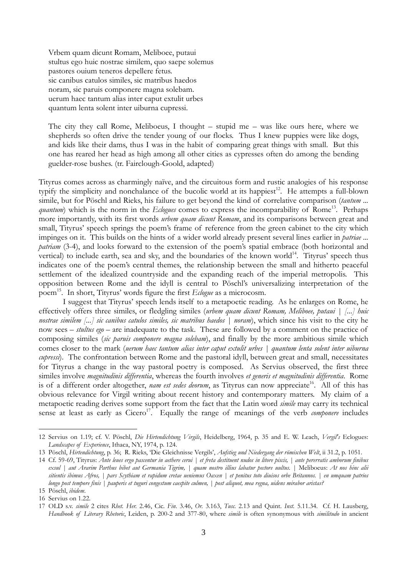Vrbem quam dicunt Romam, Meliboee, putaui stultus ego huic nostrae similem, quo saepe solemus pastores ouium teneros depellere fetus. sic canibus catulos similes, sic matribus haedos noram, sic paruis componere magna solebam. uerum haec tantum alias inter caput extulit urbes quantum lenta solent inter uiburna cupressi.

The city they call Rome, Meliboeus, I thought – stupid me – was like ours here, where we shepherds so often drive the tender young of our flocks. Thus I knew puppies were like dogs, and kids like their dams, thus I was in the habit of comparing great things with small. But this one has reared her head as high among all other cities as cypresses often do among the bending guelder-rose bushes. (tr. Fairclough-Goold, adapted)

Tityrus comes across as charmingly naïve, and the circuitous form and rustic analogies of his response typify the simplicity and nonchalance of the bucolic world at its happiest<sup>12</sup>. He attempts a full-blown simile, but for Pöschl and Rieks, his failure to get beyond the kind of correlative comparison (*tantum ... quantum*) which is the norm in the *Eclogues* comes to express the incomparability of Rome<sup>13</sup>. Perhaps more importantly, with its first words *urbem quam dicunt Romam*, and its comparisons between great and small, Tityrus' speech springs the poem's frame of reference from the green cabinet to the city which impinges on it. This builds on the hints of a wider world already present several lines earlier in *patriae ... patriam* (3-4), and looks forward to the extension of the poem's spatial embrace (both horizontal and vertical) to include earth, sea and sky, and the boundaries of the known world<sup>14</sup>. Tityrus' speech thus indicates one of the poem's central themes, the relationship between the small and hitherto peaceful settlement of the idealized countryside and the expanding reach of the imperial metropolis. This opposition between Rome and the idyll is central to Pöschl's universalizing interpretation of the poem<sup>15</sup>. In short, Tityrus' words figure the first *Eclogue* as a microcosm.

I suggest that Tityrus' speech lends itself to a metapoetic reading. As he enlarges on Rome, he effectively offers three similes, or fledgling similes (*urbem quam dicunt Romam, Meliboee, putaui | [...] huic nostrae similem [...] sic canibus catulos similes, sic matribus haedos | noram*), which since his visit to the city he now sees *– stultus ego –* are inadequate to the task. These are followed by a comment on the practice of composing similes (*sic paruis componere magna solebam*), and finally by the more ambitious simile which comes closer to the mark (*uerum haec tantum alias inter caput extulit urbes | quantum lenta solent inter uiburna cupressi*). The confrontation between Rome and the pastoral idyll, between great and small, necessitates for Tityrus a change in the way pastoral poetry is composed. As Servius observed, the first three similes involve *magnitudinis differentia*, whereas the fourth involves *et generis et magnitudinis differentia*. Rome is of a different order altogether, *nam est sedes deorum*, as Tityrus can now appreciate<sup>16</sup>. All of this has obvious relevance for Virgil writing about recent history and contemporary matters. My claim of a metapoetic reading derives some support from the fact that the Latin word *simile* may carry its technical sense at least as early as  $Cicero<sup>17</sup>$ . Equally the range of meanings of the verb *componere* includes

<sup>12</sup> Servius on 1.19; cf. V. Pöschl, *Die Hirtendichtung Virgils*, Heidelberg, 1964, p. 35 and E. W. Leach, *Vergil's* Eclogues: *Landscapes of Experience*, Ithaca, NY, 1974, p. 124.

<sup>13</sup> Pöschl, *Hirtendichtung*, p. 36; R. Rieks, 'Die Gleichnisse Vergils', *Aufstieg und Niedergang der römischen Welt*, ii 31.2, p. 1051.

<sup>14</sup> Cf. 59-69, Tityrus: *Ante leues ergo pascentur in aethere cerui | et freta destituent nudos in litore piscis, | ante pererratis amborum finibus exsul | aut Ararim Parthus bibet aut Germania Tigrim, | quam nostro illius labatur pectore uultus. |* Meliboeus: *At nos hinc alii sitientis ibimus Afros, | pars Scythiam et rapidum cretae ueniemus Oaxen | et penitus toto diuisos orbe Britannos. | en umquam patrios longo post tempore finis | pauperis et tuguri congestum caespite culmen, | post aliquot, mea regna, uidens mirabor aristas?* 15 Pöschl, *ibidem*.

<sup>16</sup> Servius on 1.22.

<sup>17</sup> OLD s.v. *simile* 2 cites *Rhet. Her.* 2.46, Cic. *Fin*. 3.46, *Or.* 3.163, *Tusc.* 2.13 and Quint. *Inst.* 5.11.34. Cf. H. Lausberg, *Handbook of Literary Rhetoric*, Leiden, p. 200-2 and 377-80, where *simile* is often synonymous with *similitudo* in ancient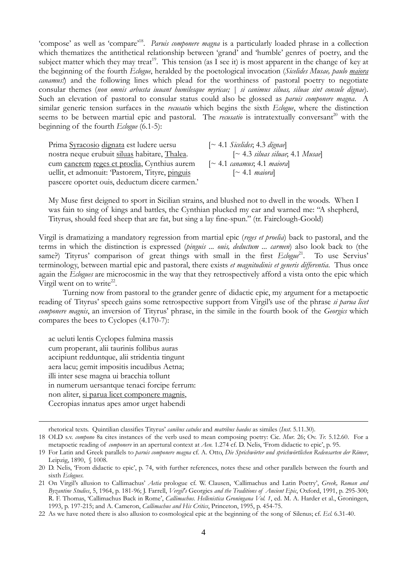'compose' as well as 'compare'<sup>18</sup>. *Paruis componere magna* is a particularly loaded phrase in a collection which thematizes the antithetical relationship between 'grand' and 'humble' genres of poetry, and the subject matter which they may treat<sup>19</sup>. This tension (as I see it) is most apparent in the change of key at the beginning of the fourth *Eclogue*, heralded by the poetological invocation (*Sicelides Musae, paulo maiora canamus!*) and the following lines which plead for the worthiness of pastoral poetry to negotiate consular themes (*non omnis arbusta iuuant humilesque myricae; | si canimus siluas, siluae sint consule dignae*). Such an elevation of pastoral to consular status could also be glossed as *paruis componere magna*. A similar generic tension surfaces in the *recusatio* which begins the sixth *Eclogue*, where the distinction seems to be between martial epic and pastoral. The *recusatio* is intratextually conversant<sup>20</sup> with the beginning of the fourth *Eclogue* (6.1-5):

Prima Syracosio dignata est ludere uersu [~ 4.1 *Sicelides*; 4.3 *dignae*] nostra neque erubuit siluas habitare, Thalea. [~ 4.3 *siluas siluae*; 4.1 *Musae*] cum canerem reges et proelia, Cynthius aurem [~ 4.1 *canamus*; 4.1 *maiora*] uellit, et admonuit: 'Pastorem, Tityre, pinguis [~ 4.1 *maiora*] pascere oportet ouis, deductum dicere carmen.'

My Muse first deigned to sport in Sicilian strains, and blushed not to dwell in the woods. When I was fain to sing of kings and battles, the Cynthian plucked my ear and warned me: "A shepherd, Tityrus, should feed sheep that are fat, but sing a lay fine-spun." (tr. Fairclough-Goold)

Virgil is dramatizing a mandatory regression from martial epic (*reges et proelia*) back to pastoral, and the terms in which the distinction is expressed (*pinguis ... ouis, deductum ... carmen*) also look back to (the same?) Tityrus' comparison of great things with small in the first *Eclogue*<sup>21</sup>. To use Servius' terminology, between martial epic and pastoral, there exists *et magnitudinis et generis differentia*. Thus once again the *Eclogues* are microcosmic in the way that they retrospectively afford a vista onto the epic which Virgil went on to write $22$ .

Turning now from pastoral to the grander genre of didactic epic, my argument for a metapoetic reading of Tityrus' speech gains some retrospective support from Virgil's use of the phrase *si parua licet componere magnis*, an inversion of Tityrus' phrase, in the simile in the fourth book of the *Georgics* which compares the bees to Cyclopes (4.170-7):

ac ueluti lentis Cyclopes fulmina massis cum properant, alii taurinis follibus auras accipiunt redduntque, alii stridentia tingunt aera lacu; gemit impositis incudibus Aetna; illi inter sese magna ui bracchia tollunt in numerum uersantque tenaci forcipe ferrum: non aliter, si parua licet componere magnis, Cecropias innatus apes amor urget habendi

rhetorical texts. Quintilian classifies Tityrus' *canibus catulos* and *matribus haedos* as similes (*Inst*. 5.11.30)*.*

<sup>18</sup> OLD s.v. *compono* 8a cites instances of the verb used to mean composing poetry: Cic. *Mur.* 26; Ov. *Tr.* 5.12.60. For a metapoetic reading of *componere* in an apertural context at *Aen.* 1.274 cf. D. Nelis, 'From didactic to epic', p. 95.

<sup>19</sup> For Latin and Greek parallels to *paruis componere magna* cf. A. Otto, *Die Sprichwörter und sprichwörtlichen Redensarten der Römer*, Leipzig, 1890, § 1008.

<sup>20</sup> D. Nelis, 'From didactic to epic', p. 74, with further references, notes these and other parallels between the fourth and sixth *Eclogues*.

<sup>21</sup> On Virgil's allusion to Callimachus' *Aetia* prologue cf. W. Clausen, 'Callimachus and Latin Poetry', *Greek, Roman and Byzantine Studies*, 5, 1964, p. 181-96; J. Farrell, *Vergil's* Georgics *and the Traditions of Ancient Epic*, Oxford, 1991, p. 295-300; R. F. Thomas, 'Callimachus Back in Rome', *Callimachus*. *Hellenistica Groningana Vol. 1*, ed. M. A. Harder et al., Groningen, 1993, p. 197-215; and A. Cameron, *Callimachus and His Critics*, Princeton, 1995, p. 454-75.

<sup>22</sup> As we have noted there is also allusion to cosmological epic at the beginning of the song of Silenus; cf. *Ecl.* 6.31-40.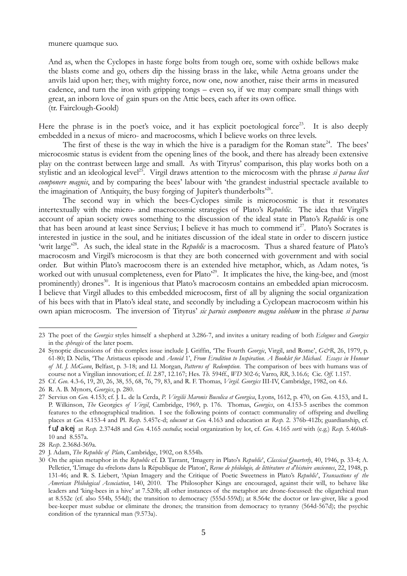munere quamque suo.

And as, when the Cyclopes in haste forge bolts from tough ore, some with oxhide bellows make the blasts come and go, others dip the hissing brass in the lake, while Aetna groans under the anvils laid upon her; they, with mighty force, now one, now another, raise their arms in measured cadence, and turn the iron with gripping tongs – even so, if we may compare small things with great, an inborn love of gain spurs on the Attic bees, each after its own office. (tr. Fairclough-Goold)

Here the phrase is in the poet's voice, and it has explicit poetological force<sup>23</sup>. It is also deeply embedded in a nexus of micro- and macrocosms, which I believe works on three levels.

The first of these is the way in which the hive is a paradigm for the Roman state<sup>24</sup>. The bees' microcosmic status is evident from the opening lines of the book, and there has already been extensive play on the contrast between large and small. As with Tityrus' comparison, this play works both on a stylistic and an ideological level<sup>25</sup>. Virgil draws attention to the microcosm with the phrase *si parua licet componere magnis*, and by comparing the bees' labour with 'the grandest industrial spectacle available to the imagination of Antiquity, the busy forging of Jupiter's thunderbolts<sup>26</sup>.

The second way in which the bees-Cyclopes simile is microcosmic is that it resonates intertextually with the micro- and macrocosmic strategies of Plato's *Republic*. The idea that Virgil's account of apian society owes something to the discussion of the ideal state in Plato's *Republic* is one that has been around at least since Servius; I believe it has much to commend  $it^{27}$ . Plato's Socrates is interested in justice in the soul, and he initiates discussion of the ideal state in order to discern justice 'writ large<sup>28</sup>. As such, the ideal state in the *Republic* is a macrocosm. Thus a shared feature of Plato's macrocosm and Virgil's microcosm is that they are both concerned with government and with social order. But within Plato's macrocosm there is an extended hive metaphor, which, as Adam notes, 'is worked out with unusual completeness, even for Plato<sup>229</sup>. It implicates the hive, the king-bee, and (most prominently) drones<sup>30</sup>. It is ingenious that Plato's macrocosm contains an embedded apian microcosm. I believe that Virgil alludes to this embedded microcosm, first of all by aligning the social organization of his bees with that in Plato's ideal state, and secondly by including a Cyclopean macrocosm within his own apian microcosm. The inversion of Tityrus' *sic paruis componere magna solebam* in the phrase *si parua*

<sup>23</sup> The poet of the *Georgics* styles himself a shepherd at 3.286-7, and invites a unitary reading of both *Eclogues* and *Georgics* in the *sphragis* of the later poem.

<sup>24</sup> Synoptic discussions of this complex issue include J. Griffin, 'The Fourth *Georgic*, Virgil, and Rome', *G&R*, 26, 1979, p. 61-80; D. Nelis, 'The Aristaeus episode and *Aeneid* 1', *From Erudition to Inspiration. A Booklet for Michael. Essays in Honour of M. J. McGann*, Belfast, p. 3-18; and Ll. Morgan, *Patterns of Redemption*. The comparison of bees with humans was of course not a Virgilian innovation; cf. *Il*. 2.87, 12.167; Hes. *Th.* 594ff., *WD* 302-6; Varro, *RR*, 3.16.6; Cic. *Off*. 1.157.

<sup>25</sup> Cf. *Geo*. 4.3-6, 19, 20, 26, 38, 55, 68, 76, 79, 83, and R. F. Thomas, *Virgil*. *Georgics* III-IV, Cambridge, 1982, on 4.6.

<sup>26</sup> R. A. B. Mynors, *Georgics*, p. 280.

<sup>27</sup> Servius on *Geo.* 4.153; cf. J. L. de la Cerda, *P. Virgilii Maronis Bucolica et Georgica*, Lyons, 1612, p. 470, on *Geo*. 4.153, and L. P. Wilkinson, *The* Georgics *of Virgil*, Cambridge, 1969, p. 176. Thomas, *Georgics*, on 4.153-5 ascribes the common features to the ethnographical tradition. I see the following points of contact: communality of offspring and dwelling places at *Geo.* 4.153-4 and Pl. *Resp*. 5.457c-d; *educunt* at *Geo.* 4.163 and education at *Resp.* 2. 376b-412b; guardianship, cf. fu/lakej at *Resp.* 2.374d8 and *Geo.* 4.165 *custodia*; social organization by lot, cf. *Geo*. 4.165 *sorti* with (e.g.) *Resp.* 5.460a8- 10 and 8.557a.

<sup>28</sup> *Resp*. 2.368d-369a.

<sup>29</sup> J. Adam, *The Republic of Plato*, Cambridge, 1902, on 8.554b.

<sup>30</sup> On the apian metaphor in the *Republic* cf. D. Tarrant, 'Imagery in Plato's *Republic*', *Classical Quarterly*, 40, 1946, p. 33-4; A. Pelletier, 'L'image du «frelon» dans la République de Platon', *Revue de philologie, de littérature et d'histoire anciennes*, 22, 1948, p. 131-46; and R. S. Liebert, 'Apian Imagery and the Critique of Poetic Sweetness in Plato's *Republic*', *Transactions of the American Philological Association*, 140, 2010. The Philosopher Kings are encouraged, against their will, to behave like leaders and 'king-bees in a hive' at 7.520b; all other instances of the metaphor are drone-focussed: the oligarchical man at 8.552c (cf. also 554b, 554d); the transition to democracy (555d-559d); at 8.564c the doctor or law-giver, like a good bee-keeper must subdue or eliminate the drones; the transition from democracy to tyranny (564d-567d); the psychic condition of the tyrannical man (9.573a).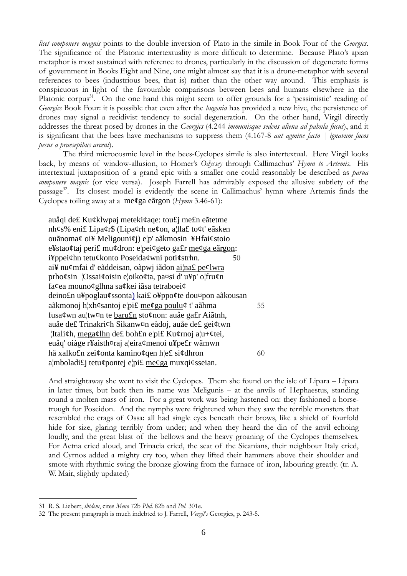*licet componere magnis* points to the double inversion of Plato in the simile in Book Four of the *Georgics*. The significance of the Platonic intertextuality is more difficult to determine. Because Plato's apian metaphor is most sustained with reference to drones, particularly in the discussion of degenerate forms of government in Books Eight and Nine, one might almost say that it is a drone-metaphor with several references to bees (industrious bees, that is) rather than the other way around. This emphasis is conspicuous in light of the favourable comparisons between bees and humans elsewhere in the Platonic corpus<sup>31</sup>. On the one hand this might seem to offer grounds for a 'pessimistic' reading of *Georgics* Book Four: it is possible that even after the *bugonia* has provided a new hive, the persistence of drones may signal a recidivist tendency to social degeneration. On the other hand, Virgil directly addresses the threat posed by drones in the *Georgics* (4.244 *immunisque sedens aliena ad pabula fucus*), and it is significant that the bees have mechanisms to suppress them (4.167-8 *aut agmine facto | ignavum fucos pecus a praesepibus arcent*).

The third microcosmic level in the bees-Cyclopes simile is also intertextual. Here Virgil looks back, by means of window-allusion, to Homer's *Odyssey* through Callimachus' *Hymn to Artemis*. His intertextual juxtaposition of a grand epic with a smaller one could reasonably be described as *parua componere magnis* (or vice versa). Joseph Farrell has admirably exposed the allusive subtlety of the passage<sup>32</sup>. Its closest model is evidently the scene in Callimachus' hymn where Artemis finds the Cyclopes toiling away at a me¢ga eãrgon (*Hymn* 3.46-61):

auåqi de£ Ku¢klwpaj meteki¢aqe: tou£j me£n eãtetme nh¢s% eni£ Lipa¢r\$ (Lipa¢rh ne¢on, a¦lla£ to¢t' eãsken ouãnoma¢ oi¥ Meligouni¢j) e¦p' aãkmosin ¥Hfai¢stoio e¥stao¢taj peri£ mu¢dron: e¦pei¢geto ga£r me¢ga eãrgon: i¥ppei¢hn tetu¢konto Poseida¢wni poti¢strhn. 50 ai¥ nu¢mfai d' eãddeisan, oàpwj iãdon ai¦na£ pe¢lwra prho¢sin ¦Ossai¢oisin e¦oiko¢ta, pa¤si d' u¥p' o¦fru¢n fa¢ea mouno¢glhna sa¢kei iãsa tetraboei¢ deino£n u¥poglau¢ssonta) kai£ o¥ppo¢te dou¤pon aãkousan aãkmonoj h¦xh¢santoj e¦pi£ me¢ga poulu¢ t' aãhma 55 fusa¢wn au¦tw¤n te baru£n sto¢non: auåe ga£r Aiãtnh, auåe de£ Trinakri¢h Sikanw¤n eàdoj, auåe de£ gei¢twn ¦Itali¢h, mega¢lhn de£ boh£n e¦pi£ Ku¢rnoj a¦u+¢tei, euåq' oiàge r¥aisth¤raj a¦eira¢menoi u¥pe£r wãmwn hä xalko£n zei¢onta kamino¢qen h¦e£ si¢dhron 60 a¦mboladi£j tetu¢pontej e¦pi£ me¢ga muxqi¢sseian.

And straightaway she went to visit the Cyclopes. Them she found on the isle of Lipara – Lipara in later times, but back then its name was Meligunis – at the anvils of Hephaestus, standing round a molten mass of iron. For a great work was being hastened on: they fashioned a horsetrough for Poseidon. And the nymphs were frightened when they saw the terrible monsters that resembled the crags of Ossa: all had single eyes beneath their brows, like a shield of fourfold hide for size, glaring terribly from under; and when they heard the din of the anvil echoing loudly, and the great blast of the bellows and the heavy groaning of the Cyclopes themselves. For Aetna cried aloud, and Trinacia cried, the seat of the Sicanians, their neighbour Italy cried, and Cyrnos added a mighty cry too, when they lifted their hammers above their shoulder and smote with rhythmic swing the bronze glowing from the furnace of iron, labouring greatly. (tr. A. W. Mair, slightly updated)

<sup>31</sup> R. S. Liebert, *ibidem*, cites *Meno* 72b *Phd*. 82b and *Pol*. 301e.

<sup>32</sup> The present paragraph is much indebted to J. Farrell, *Vergil*'*s* Georgics, p. 243-5.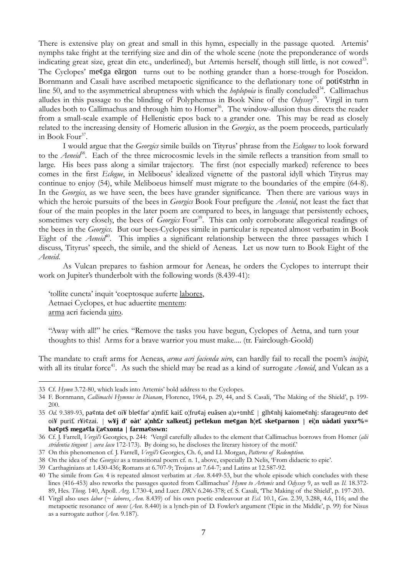There is extensive play on great and small in this hymn, especially in the passage quoted. Artemis' nymphs take fright at the terrifying size and din of the whole scene (note the preponderance of words indicating great size, great din etc., underlined), but Artemis herself, though still little, is not cowed<sup>33</sup>. The Cyclopes' me¢ga eãrgon turns out to be nothing grander than a horse-trough for Poseidon. Bornmann and Casali have ascribed metapoetic significance to the deflationary tone of poti¢strhn in line 50, and to the asymmetrical abruptness with which the *hoplopoia* is finally concluded<sup>34</sup>. Callimachus alludes in this passage to the blinding of Polyphemus in Book Nine of the *Odyssey*<sup>35</sup>. Virgil in turn alludes both to Callimachus and through him to Homer<sup>36</sup>. The window-allusion thus directs the reader from a small-scale example of Hellenistic epos back to a grander one. This may be read as closely related to the increasing density of Homeric allusion in the *Georgics*, as the poem proceeds, particularly in Book Four<sup>37</sup>.

I would argue that the *Georgics* simile builds on Tityrus' phrase from the *Eclogues* to look forward to the *Aeneid*<sup>38</sup>. Each of the three microcosmic levels in the simile reflects a transition from small to large. His bees pass along a similar trajectory. The first (not especially marked) reference to bees comes in the first *Eclogue*, in Meliboeus' idealized vignette of the pastoral idyll which Tityrus may continue to enjoy (54), while Meliboeus himself must migrate to the boundaries of the empire (64-8). In the *Georgics*, as we have seen, the bees have grander significance. Then there are various ways in which the heroic pursuits of the bees in *Georgics* Book Four prefigure the *Aeneid*, not least the fact that four of the main peoples in the later poem are compared to bees, in language that persistently echoes, sometimes very closely, the bees of *Georgics* Four<sup>39</sup>. This can only corroborate allegorical readings of the bees in the *Georgics*. But our bees-Cyclopes simile in particular is repeated almost verbatim in Book Eight of the *Aeneid*<sup>40</sup>. This implies a significant relationship between the three passages which I discuss, Tityrus' speech, the simile, and the shield of Aeneas. Let us now turn to Book Eight of the *Aeneid*.

As Vulcan prepares to fashion armour for Aeneas, he orders the Cyclopes to interrupt their work on Jupiter's thunderbolt with the following words (8.439-41):

'tollite cuncta' inquit 'coeptosque auferte labores, Aetnaei Cyclopes, et huc aduertite mentem: arma acri facienda uiro.

"Away with all!" he cries. "Remove the tasks you have begun, Cyclopes of Aetna, and turn your thoughts to this! Arms for a brave warrior you must make.... (tr. Fairclough-Goold)

The mandate to craft arms for Aeneas, *arma acri facienda uiro*, can hardly fail to recall the poem's *incipit*, with all its titular force<sup>41</sup>. As such the shield may be read as a kind of surrogate *Aeneid*, and Vulcan as a

<sup>33</sup> Cf. *Hymn* 3.72-80, which leads into Artemis' bold address to the Cyclopes.

<sup>34</sup> F. Bornmann, *Callimachi Hymnus in Dianam*, Florence, 1964, p. 29, 44, and S. Casali, 'The Making of the Shield', p. 199- 200.

<sup>35</sup> *Od.* 9.389-93, pa¢nta de¢ oi¥ ble¢far' a¦mfi£ kai£ o¦fru¢aj euâsen a¦u+tmh£ | glh¢nhj kaiome¢nhj: sfarageu¤nto de¢ oi¥ puri£ r¥i¢zai. | **w¥j d' oàt' a¦nh£r xalkeu£j pe¢lekun me¢gan h¦e£ ske¢parnon | ei¦n uàdati yuxr%= ba¢pt\$ mega¢la i¦a¢xonta | farma¢sswn:**

<sup>36</sup> Cf. J. Farrell, *Vergil's* Georgics, p. 244: 'Vergil carefully alludes to the element that Callimachus borrows from Homer (*alii stridentia tingunt | aera lacu* 172-173). By doing so, he discloses the literary history of the motif.'

<sup>37</sup> On this phenomenon cf. J. Farrell, *Vergil's* Georgics, Ch. 6, and Ll. Morgan, *Patterns of Redemption*.

<sup>38</sup> On the idea of the *Georgics* as a transitional poem cf. n. 1, above, especially D. Nelis, 'From didactic to epic'.

<sup>39</sup> Carthaginians at 1.430-436; Romans at 6.707-9; Trojans at 7.64-7; and Latins at 12.587-92.

<sup>40</sup> The simile from *Geo.* 4 is repeated almost verbatim at *Aen*. 8.449-53, but the whole episode which concludes with these lines (416-453) also reworks the passages quoted from Callimachus' *Hymn to Artemis* and *Odyssey* 9, as well as *Il*. 18.372- 89, Hes. *Theog*. 140, Apoll. *Arg.* 1.730-4, and Lucr. *DRN* 6.246-378; cf. S. Casali, 'The Making of the Shield', p. 197-203.

<sup>41</sup> Virgil also uses *labor* (~ *labores*, *Aen.* 8.439) of his own poetic endeavour at *Ecl.* 10.1, *Geo*. 2.39, 3.288, 4.6, 116; and the metapoetic resonance of *mens* (*Aen*. 8.440) is a lynch-pin of D. Fowler's argument ('Epic in the Middle', p. 99) for Nisus as a surrogate author (*Aen.* 9.187).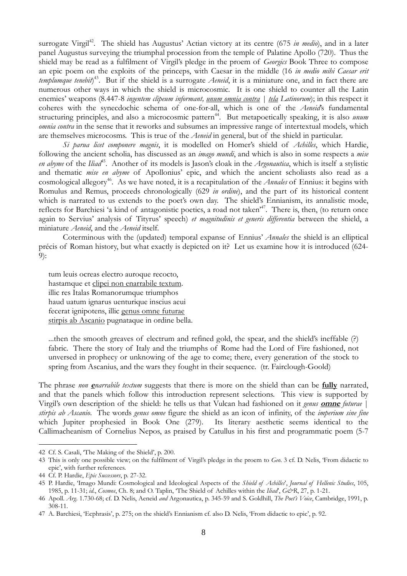surrogate Virgil<sup>42</sup>. The shield has Augustus' Actian victory at its centre (675 *in medio*), and in a later panel Augustus surveying the triumphal procession from the temple of Palatine Apollo (720). Thus the shield may be read as a fulfilment of Virgil's pledge in the proem of *Georgics* Book Three to compose an epic poem on the exploits of the princeps, with Caesar in the middle (16 *in medio mihi Caesar erit templumque tenebit*) <sup>43</sup>. But if the shield is a surrogate *Aeneid*, it is a miniature one, and in fact there are numerous other ways in which the shield is microcosmic. It is one shield to counter all the Latin enemies' weapons (8.447-8 *ingentem clipeum informant, unum omnia contra | tela Latinorum*); in this respect it coheres with the synecdochic schema of one-for-all, which is one of the *Aeneid*'s fundamental structuring principles, and also a microcosmic pattern<sup>44</sup>. But metapoetically speaking, it is also *unum omnia contra* in the sense that it reworks and subsumes an impressive range of intertextual models, which are themselves microcosms. This is true of the *Aeneid* in general, but of the shield in particular.

*Si parua licet componere magnis*, it is modelled on Homer's shield of *Achilles*, which Hardie, following the ancient scholia, has discussed as an *imago mundi*, and which is also in some respects a *mise en abyme* of the *Iliad*<sup>45</sup>. Another of its models is Jason's cloak in the *Argonautica*, which is itself a stylistic and thematic *mise en abyme* of Apollonius' epic, and which the ancient scholiasts also read as a cosmological allegory<sup>46</sup>. As we have noted, it is a recapitulation of the *Annales* of Ennius: it begins with Romulus and Remus, proceeds chronologically (629 *in ordine*), and the part of its historical content which is narrated to us extends to the poet's own day. The shield's Ennianism, its annalistic mode, reflects for Barchiesi 'a kind of antagonistic poetics, a road not taken<sup>47</sup>. There is, then, (to return once again to Servius' analysis of Tityrus' speech) *et magnitudinis et generis differentia* between the shield, a miniature *Aeneid*, and the *Aeneid* itself.

Coterminous with the (updated) temporal expanse of Ennius' *Annales* the shield is an elliptical précis of Roman history, but what exactly is depicted on it? Let us examine how it is introduced (624- 9):

tum leuis ocreas electro auroque recocto, hastamque et clipei non enarrabile textum. illic res Italas Romanorumque triumphos haud uatum ignarus uenturique inscius aeui fecerat ignipotens, illic genus omne futurae stirpis ab Ascanio pugnataque in ordine bella.

...then the smooth greaves of electrum and refined gold, the spear, and the shield's ineffable (?) fabric. There the story of Italy and the triumphs of Rome had the Lord of Fire fashioned, not unversed in prophecy or unknowing of the age to come; there, every generation of the stock to spring from Ascanius, and the wars they fought in their sequence. (tr. Fairclough-Goold)

The phrase *non* **<sup>e</sup>***narrabile textum* suggests that there is more on the shield than can be **fully** narrated, and that the panels which follow this introduction represent selections. This view is supported by Virgil's own description of the shield: he tells us that Vulcan had fashioned on it *genus* **omne** *futurae* | *stirpis ab Ascanio*. The words *genus omne* figure the shield as an icon of infinity, of the *imperium sine fine* which Jupiter prophesied in Book One (279). Its literary aesthetic seems identical to the Callimacheanism of Cornelius Nepos, as praised by Catullus in his first and programmatic poem (5-7

<sup>42</sup> Cf. S. Casali, 'The Making of the Shield', p. 200.

<sup>43</sup> This is only one possible view; on the fulfilment of Virgil's pledge in the proem to *Geo*. 3 cf. D. Nelis, 'From didactic to epic', with further references.

<sup>44</sup> Cf. P. Hardie, *Epic Successors*, p. 27-32.

<sup>45</sup> P. Hardie, 'Imago Mundi: Cosmological and Ideological Aspects of the *Shield of Achilles*', *Journal of Hellenic Studies*, 105, 1985, p. 11-31; *id.*, *Cosmos*, Ch. 8; and O. Taplin, 'The Shield of Achilles within the *Iliad*', *G&R*, 27, p. 1-21.

<sup>46</sup> Apoll. *Arg.* 1.730-68; cf. D. Nelis, Aeneid *and* Argonautica, p. 345-59 and S. Goldhill, *The Poet's Voice*, Cambridge, 1991, p. 308-11.

<sup>47</sup> A. Barchiesi, 'Ecphrasis', p. 275; on the shield's Ennianism cf. also D. Nelis, 'From didactic to epic', p. 92.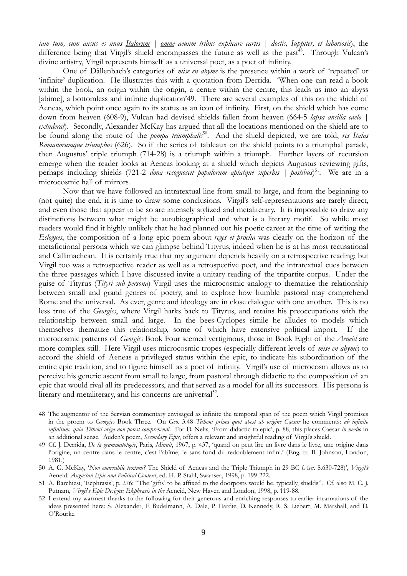*iam tum, cum ausus es unus Italorum | omne aeuum tribus explicare cartis | doctis, Iuppiter, et laboriosis*), the difference being that Virgil's shield encompasses the future as well as the past<sup>48</sup>. Through Vulcan's divine artistry, Virgil represents himself as a universal poet, as a poet of infinity.

One of Dällenbach's categories of *mise en abyme* is the presence within a work of 'repeated' or 'infinite' duplication. He illustrates this with a quotation from Derrida. 'When one can read a book within the book, an origin within the origin, a centre within the centre, this leads us into an abyss [abîme], a bottomless and infinite duplication'49. There are several examples of this on the shield of Aeneas, which point once again to its status as an icon of infinity. First, on the shield which has come down from heaven (608-9), Vulcan had devised shields fallen from heaven (664-5 *lapsa ancilia caelo | extuderat*). Secondly, Alexander McKay has argued that all the locations mentioned on the shield are to be found along the route of the *pompa triumphalis*<sup>50</sup>. And the shield depicted, we are told, *res Italas Romanorumque triumphos* (626). So if the series of tableaux on the shield points to a triumphal parade, then Augustus' triple triumph (714-28) is a triumph within a triumph. Further layers of recursion emerge when the reader looks at Aeneas looking at a shield which depicts Augustus reviewing gifts, perhaps including shields (721-2 *dona recognoscit populorum aptatque superbis | postibus*) <sup>51</sup>. We are in a microcosmic hall of mirrors.

Now that we have followed an intratextual line from small to large, and from the beginning to (not quite) the end, it is time to draw some conclusions. Virgil's self-representations are rarely direct, and even those that appear to be so are intensely stylized and metaliterary. It is impossible to draw any distinctions between what might be autobiographical and what is a literary motif. So while most readers would find it highly unlikely that he had planned out his poetic career at the time of writing the *Eclogues*, the composition of a long epic poem about *reges et proelia* was clearly on the horizon of the metafictional persona which we can glimpse behind Tityrus, indeed when he is at his most recusational and Callimachean. It is certainly true that my argument depends heavily on a retrospective reading; but Virgil too was a retrospective reader as well as a retrospective poet, and the intratextual cues between the three passages which I have discussed invite a unitary reading of the tripartite corpus. Under the guise of Tityrus (*Tityri sub persona*) Virgil uses the microcosmic analogy to thematize the relationship between small and grand genres of poetry, and to explore how humble pastoral may comprehend Rome and the universal. As ever, genre and ideology are in close dialogue with one another. This is no less true of the *Georgics*, where Virgil harks back to Tityrus, and retains his preoccupations with the relationship between small and large. In the bees-Cyclopes simile he alludes to models which themselves thematize this relationship, some of which have extensive political import. If the microcosmic patterns of *Georgics* Book Four seemed vertiginous, those in Book Eight of the *Aeneid* are more complex still. Here Virgil uses microcosmic tropes (especially different levels of *mise en abyme*) to accord the shield of Aeneas a privileged status within the epic, to indicate his subordination of the entire epic tradition, and to figure himself as a poet of infinity. Virgil's use of microcosm allows us to perceive his generic ascent from small to large, from pastoral through didactic to the composition of an epic that would rival all its predecessors, and that served as a model for all its successors. His persona is literary and metaliterary, and his concerns are universal<sup>52</sup>.

<sup>48</sup> The augmentor of the Servian commentary envisaged as infinite the temporal span of the poem which Virgil promises in the proem to *Georgics* Book Three. On *Geo*. 3.48 *Tithoni prima quot abest ab origine Caesar* he comments: *ab infinito infinitum, quia Tithoni origo non potest comprehendi*. For D. Nelis, 'From didactic to epic', p. 88, this places Caesar *in medio* in an additional sense. Auden's poem, *Secondary Epic*, offers a relevant and insightful reading of Virgil's shield.

<sup>49</sup> Cf. J. Derrida, *De la grammatologie*, Paris, *Minuit*, 1967, p. 437, 'quand on peut lire un livre dans le livre, une origine dans l'origine, un centre dans le centre, c'est l'abîme, le sans-fond du redoublement infini.' (Eng. tr. B. Johnson, London, 1981.)

<sup>50</sup> A. G. McKay, '*Non enarrabile textum?* The Shield of Aeneas and the Triple Triumph in 29 BC (*Aen.* 8.630-728)', *Virgil's* Aeneid: *Augustan Epic and Political Context*, ed. H. P. Stahl, Swansea, 1998, p. 199-222.

<sup>51</sup> A. Barchiesi, 'Ecphrasis', p. 276: "The 'gifts' to be affixed to the doorposts would be, typically, shields". Cf. also M. C. J. Putnam, *Virgil*'*s Epic Designs: Ekphrasis in the* Aeneid, New Haven and London, 1998, p. 119-88.

<sup>52</sup> I extend my warmest thanks to the following for their generous and enriching responses to earlier incarnations of the ideas presented here: S. Alexander, F. Budelmann, A. Dale, P. Hardie, D. Kennedy, R. S. Liebert, M. Marshall, and D. O'Rourke.